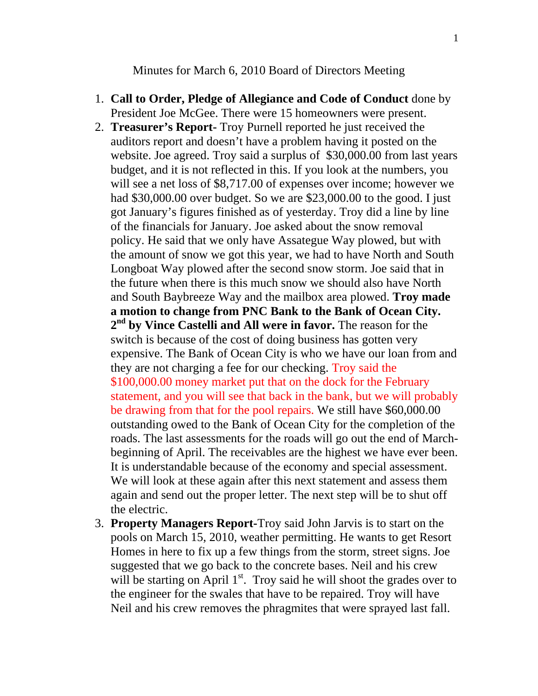Minutes for March 6, 2010 Board of Directors Meeting

- 1. **Call to Order, Pledge of Allegiance and Code of Conduct** done by President Joe McGee. There were 15 homeowners were present.
- 2. **Treasurer's Report-** Troy Purnell reported he just received the auditors report and doesn't have a problem having it posted on the website. Joe agreed. Troy said a surplus of \$30,000.00 from last years budget, and it is not reflected in this. If you look at the numbers, you will see a net loss of \$8,717.00 of expenses over income; however we had \$30,000.00 over budget. So we are \$23,000.00 to the good. I just got January's figures finished as of yesterday. Troy did a line by line of the financials for January. Joe asked about the snow removal policy. He said that we only have Assategue Way plowed, but with the amount of snow we got this year, we had to have North and South Longboat Way plowed after the second snow storm. Joe said that in the future when there is this much snow we should also have North and South Baybreeze Way and the mailbox area plowed. **Troy made a motion to change from PNC Bank to the Bank of Ocean City. 2nd by Vince Castelli and All were in favor.** The reason for the switch is because of the cost of doing business has gotten very expensive. The Bank of Ocean City is who we have our loan from and they are not charging a fee for our checking. Troy said the \$100,000.00 money market put that on the dock for the February statement, and you will see that back in the bank, but we will probably be drawing from that for the pool repairs. We still have \$60,000.00 outstanding owed to the Bank of Ocean City for the completion of the roads. The last assessments for the roads will go out the end of Marchbeginning of April. The receivables are the highest we have ever been. It is understandable because of the economy and special assessment. We will look at these again after this next statement and assess them again and send out the proper letter. The next step will be to shut off the electric.
- 3. **Property Managers Report-**Troy said John Jarvis is to start on the pools on March 15, 2010, weather permitting. He wants to get Resort Homes in here to fix up a few things from the storm, street signs. Joe suggested that we go back to the concrete bases. Neil and his crew will be starting on April  $1<sup>st</sup>$ . Troy said he will shoot the grades over to the engineer for the swales that have to be repaired. Troy will have Neil and his crew removes the phragmites that were sprayed last fall.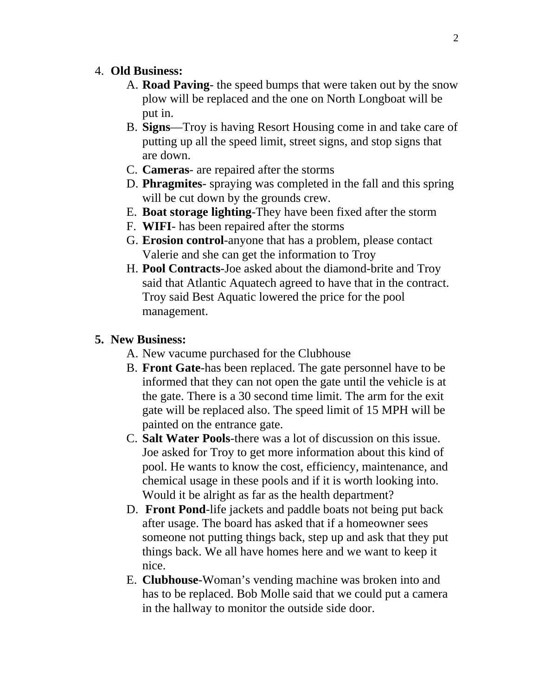## 4. **Old Business:**

- A. **Road Paving** the speed bumps that were taken out by the snow plow will be replaced and the one on North Longboat will be put in.
- B. **Signs**—Troy is having Resort Housing come in and take care of putting up all the speed limit, street signs, and stop signs that are down.
- C. **Cameras** are repaired after the storms
- D. **Phragmites** spraying was completed in the fall and this spring will be cut down by the grounds crew.
- E. **Boat storage lighting**-They have been fixed after the storm
- F. **WIFI** has been repaired after the storms
- G. **Erosion control**-anyone that has a problem, please contact Valerie and she can get the information to Troy
- H. **Pool Contracts**-Joe asked about the diamond-brite and Troy said that Atlantic Aquatech agreed to have that in the contract. Troy said Best Aquatic lowered the price for the pool management.

## **5. New Business:**

A. New vacume purchased for the Clubhouse

- B. **Front Gate**-has been replaced. The gate personnel have to be informed that they can not open the gate until the vehicle is at the gate. There is a 30 second time limit. The arm for the exit gate will be replaced also. The speed limit of 15 MPH will be painted on the entrance gate.
- C. **Salt Water Pools**-there was a lot of discussion on this issue. Joe asked for Troy to get more information about this kind of pool. He wants to know the cost, efficiency, maintenance, and chemical usage in these pools and if it is worth looking into. Would it be alright as far as the health department?
- D. **Front Pond**-life jackets and paddle boats not being put back after usage. The board has asked that if a homeowner sees someone not putting things back, step up and ask that they put things back. We all have homes here and we want to keep it nice.
- E. **Clubhouse**-Woman's vending machine was broken into and has to be replaced. Bob Molle said that we could put a camera in the hallway to monitor the outside side door.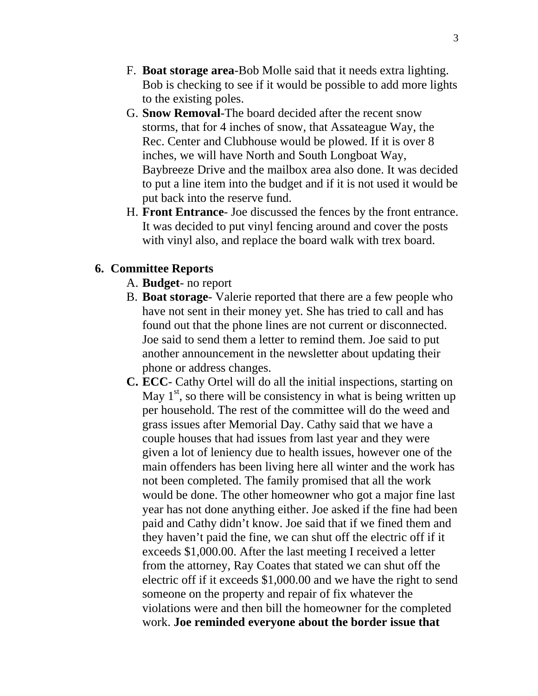- F. **Boat storage area**-Bob Molle said that it needs extra lighting. Bob is checking to see if it would be possible to add more lights to the existing poles.
- G. **Snow Removal**-The board decided after the recent snow storms, that for 4 inches of snow, that Assateague Way, the Rec. Center and Clubhouse would be plowed. If it is over 8 inches, we will have North and South Longboat Way, Baybreeze Drive and the mailbox area also done. It was decided to put a line item into the budget and if it is not used it would be put back into the reserve fund.
- H. **Front Entrance** Joe discussed the fences by the front entrance. It was decided to put vinyl fencing around and cover the posts with vinyl also, and replace the board walk with trex board.

## **6. Committee Reports**

- A. **Budget** no report
- B. **Boat storage** Valerie reported that there are a few people who have not sent in their money yet. She has tried to call and has found out that the phone lines are not current or disconnected. Joe said to send them a letter to remind them. Joe said to put another announcement in the newsletter about updating their phone or address changes.
- **C. ECC** Cathy Ortel will do all the initial inspections, starting on May  $1<sup>st</sup>$ , so there will be consistency in what is being written up per household. The rest of the committee will do the weed and grass issues after Memorial Day. Cathy said that we have a couple houses that had issues from last year and they were given a lot of leniency due to health issues, however one of the main offenders has been living here all winter and the work has not been completed. The family promised that all the work would be done. The other homeowner who got a major fine last year has not done anything either. Joe asked if the fine had been paid and Cathy didn't know. Joe said that if we fined them and they haven't paid the fine, we can shut off the electric off if it exceeds \$1,000.00. After the last meeting I received a letter from the attorney, Ray Coates that stated we can shut off the electric off if it exceeds \$1,000.00 and we have the right to send someone on the property and repair of fix whatever the violations were and then bill the homeowner for the completed work. **Joe reminded everyone about the border issue that**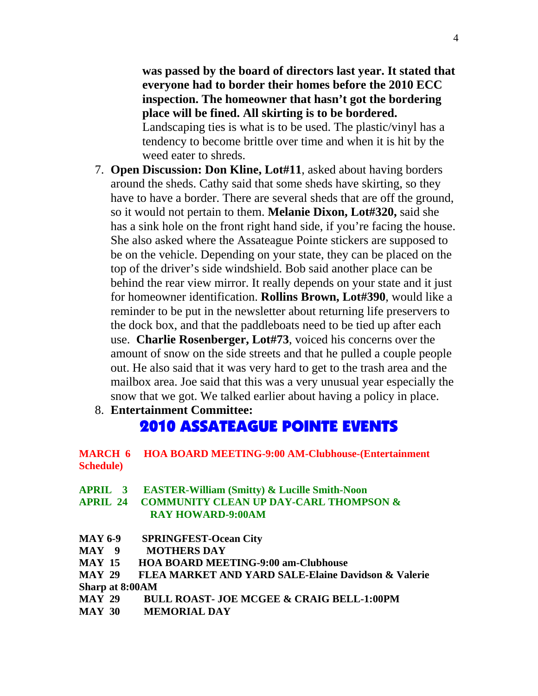**was passed by the board of directors last year. It stated that everyone had to border their homes before the 2010 ECC inspection. The homeowner that hasn't got the bordering place will be fined. All skirting is to be bordered.** Landscaping ties is what is to be used. The plastic/vinyl has a tendency to become brittle over time and when it is hit by the weed eater to shreds.

- 7. **Open Discussion: Don Kline, Lot#11**, asked about having borders around the sheds. Cathy said that some sheds have skirting, so they have to have a border. There are several sheds that are off the ground, so it would not pertain to them. **Melanie Dixon, Lot#320,** said she has a sink hole on the front right hand side, if you're facing the house. She also asked where the Assateague Pointe stickers are supposed to be on the vehicle. Depending on your state, they can be placed on the top of the driver's side windshield. Bob said another place can be behind the rear view mirror. It really depends on your state and it just for homeowner identification. **Rollins Brown, Lot#390**, would like a reminder to be put in the newsletter about returning life preservers to the dock box, and that the paddleboats need to be tied up after each use. **Charlie Rosenberger, Lot#73**, voiced his concerns over the amount of snow on the side streets and that he pulled a couple people out. He also said that it was very hard to get to the trash area and the mailbox area. Joe said that this was a very unusual year especially the snow that we got. We talked earlier about having a policy in place.
- 8. **Entertainment Committee:**

## 2010 ASSATEAGUE POINTE EVENTS

**MARCH 6 HOA BOARD MEETING-9:00 AM-Clubhouse-(Entertainment Schedule)** 

- **APRIL 3 EASTER-William (Smitty) & Lucille Smith-Noon**
- **APRIL 24 COMMUNITY CLEAN UP DAY-CARL THOMPSON & RAY HOWARD-9:00AM**
- **MAY 6-9 SPRINGFEST-Ocean City**
- **MAY 9 MOTHERS DAY**
- **MAY 15 HOA BOARD MEETING-9:00 am-Clubhouse**
- **MAY 29 FLEA MARKET AND YARD SALE-Elaine Davidson & Valerie Sharp at 8:00AM**
- **MAY 29 BULL ROAST- JOE MCGEE & CRAIG BELL-1:00PM**
- **MAY 30 MEMORIAL DAY**